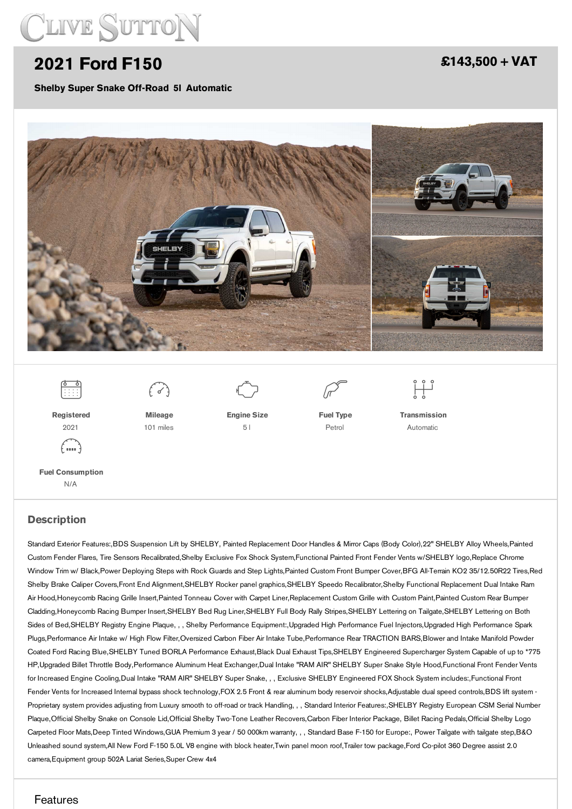

## **2021 Ford [F150](/vehicles/pdf/)**

**Shelby Super Snake Off-Road 5l Automatic**

### **[£143,500](/vehicles/pdf/) + VAT**



Standard Exterior Features:,BDS Suspension Lift by SHELBY, Painted Replacement Door Handles & Mirror Caps (Body Color),22" SHELBY Alloy Wheels,Painted Custom Fender Flares, Tire Sensors Recalibrated,Shelby Exclusive Fox Shock System,Functional Painted Front Fender Vents w/SHELBY logo,Replace Chrome Window Trim w/ Black,Power Deploying Steps with Rock Guards and Step Lights,Painted Custom Front Bumper Cover,BFG All-Terrain KO2 35/12.50R22 Tires,Red Shelby Brake Caliper Covers,Front End Alignment,SHELBY Rocker panel graphics,SHELBY Speedo Recalibrator,Shelby Functional Replacement Dual Intake Ram Air Hood,Honeycomb Racing Grille Insert,Painted Tonneau Cover with Carpet Liner,Replacement Custom Grille with Custom Paint,Painted Custom Rear Bumper Cladding,Honeycomb Racing Bumper Insert,SHELBY Bed Rug Liner,SHELBY Full Body Rally Stripes,SHELBY Lettering on Tailgate,SHELBY Lettering on Both Sides of Bed,SHELBY Registry Engine Plaque, , , Shelby Performance Equipment:,Upgraded High Performance Fuel Injectors,Upgraded High Performance Spark Plugs,Performance Air Intake w/ High Flow Filter,Oversized Carbon Fiber Air Intake Tube,Performance Rear TRACTION BARS,Blower and Intake Manifold Powder Coated Ford Racing Blue,SHELBY Tuned BORLA Performance Exhaust,Black Dual Exhaust Tips,SHELBY Engineered Supercharger System Capable of up to \*775 HP,Upgraded Billet Throttle Body,Performance Aluminum Heat Exchanger,Dual Intake "RAM AIR" SHELBY Super Snake Style Hood,Functional Front Fender Vents for Increased Engine Cooling,Dual Intake "RAM AIR" SHELBY Super Snake, , , Exclusive SHELBY Engineered FOX Shock System includes:,Functional Front Fender Vents for Increased Internal bypass shock technology,FOX 2.5 Front & rear aluminum body reservoir shocks,Adjustable dual speed controls,BDS lift system -Proprietary system provides adjusting from Luxury smooth to off-road or track Handling, , , Standard Interior Features:, SHELBY Registry European CSM Serial Number Plaque,Official Shelby Snake on Console Lid,Official Shelby Two-Tone Leather Recovers,Carbon Fiber Interior Package, Billet Racing Pedals,Official Shelby Logo Carpeted Floor Mats,Deep Tinted Windows,GUA Premium 3 year / 50 000km warranty, , , Standard Base F-150 for Europe:, Power Tailgate with tailgate step,B&O Unleashed sound system,All New Ford F-150 5.0L V8 engine with block heater,Twin panel moon roof,Trailer tow package,Ford Co-pilot 360 Degree assist 2.0 camera,Equipment group 502A Lariat Series,Super Crew 4x4

#### Features